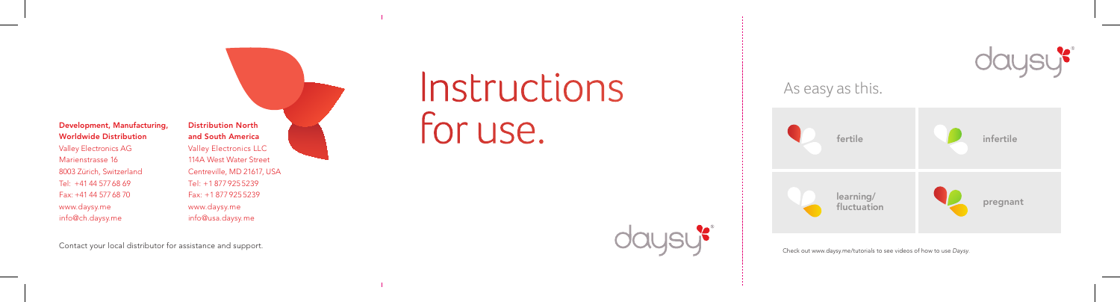Development, Manufacturing, Worldwide Distribution Valley Electronics AG Marienstrasse 16 8003 Zürich, Switzerland Tel: +41 44 577 68 69 Fax: +41 44 577 68 70 www.daysy.me info@ch.daysy.me

Distribution North and South America Valley Electronics LLC 114A West Water Street Centreville, MD 21617, USA Tel: +1 877 925 5239 Fax: +1 877 925 5239 www.daysy.me info@usa.daysy.me

Contact your local distributor for assistance and support.

# **Instructions** for use.





Check out www.daysy.me/tutorials to see videos of how to use Daysy .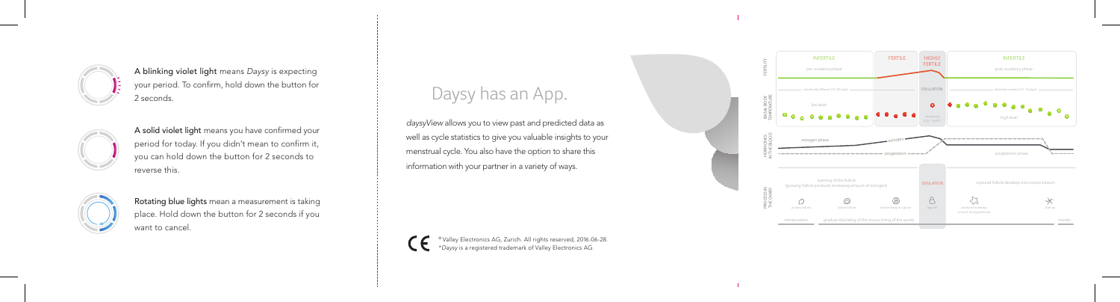

A blinking violet light means Daysy is expecting your period. To confirm, hold down the button for 2 seconds.



A solid violet light means you have confirmed your period for today. If you didn't mean to confirm it, you can hold down the button for 2 seconds to reverse this.



Rotating blue lights mean a measurement is taking place. Hold down the button for 2 seconds if you want to cancel.

# Daysy has an App.

daysyView allows you to view past and predicted data as well as cycle statistics to give you valuable insights to your menstrual cycle. You also have the option to share this information with your partner in a variety of ways.

© Valley Electronics AG, Zurich. All rights reserved, 2016-06-28. \*Daysy is a registered trademark of Valley Electronics AG.

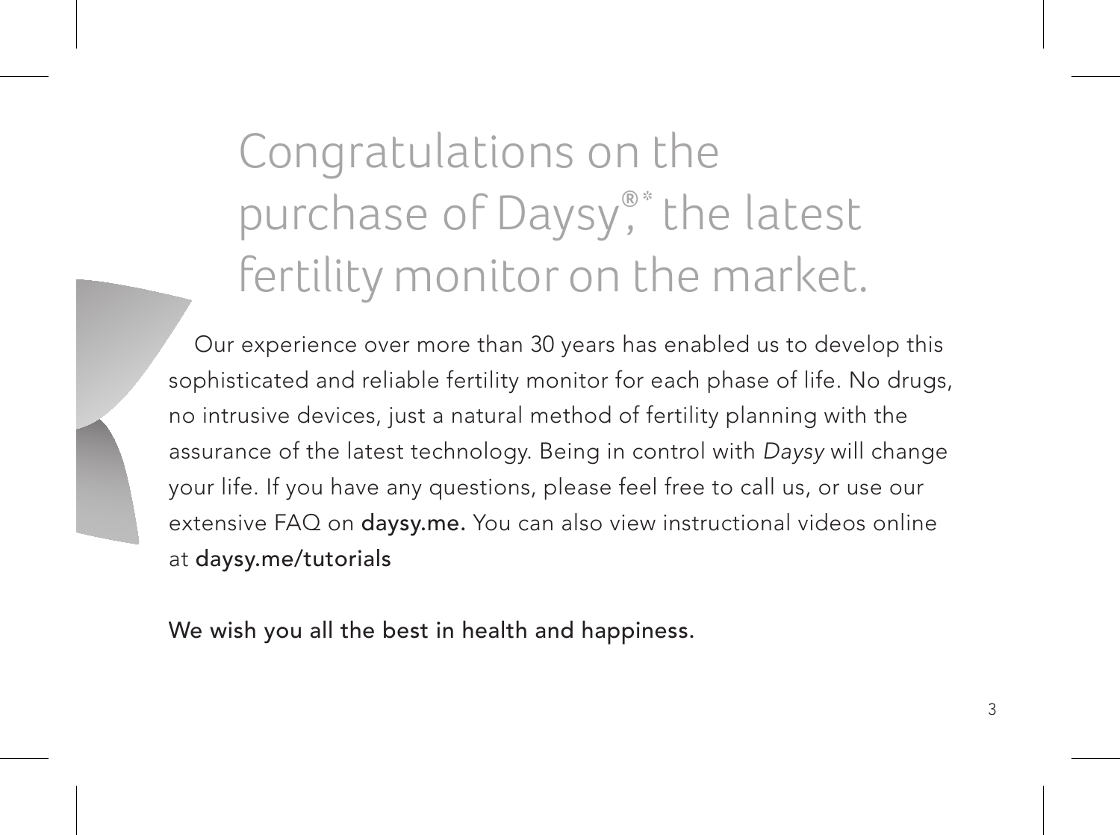Congratulations on the purchase of Daysy®<sup>®</sup>\* the latest fertility monitor on the market.

 Our experience over more than 30 years has enabled us to develop this sophisticated and reliable fertility monitor for each phase of life. No drugs, no intrusive devices, just a natural method of fertility planning with the assurance of the latest technology. Being in control with Daysy will change your life. If you have any questions, please feel free to call us, or use our extensive FAQ on daysy.me. You can also view instructional videos online at daysy.me/tutorials

We wish you all the best in health and happiness.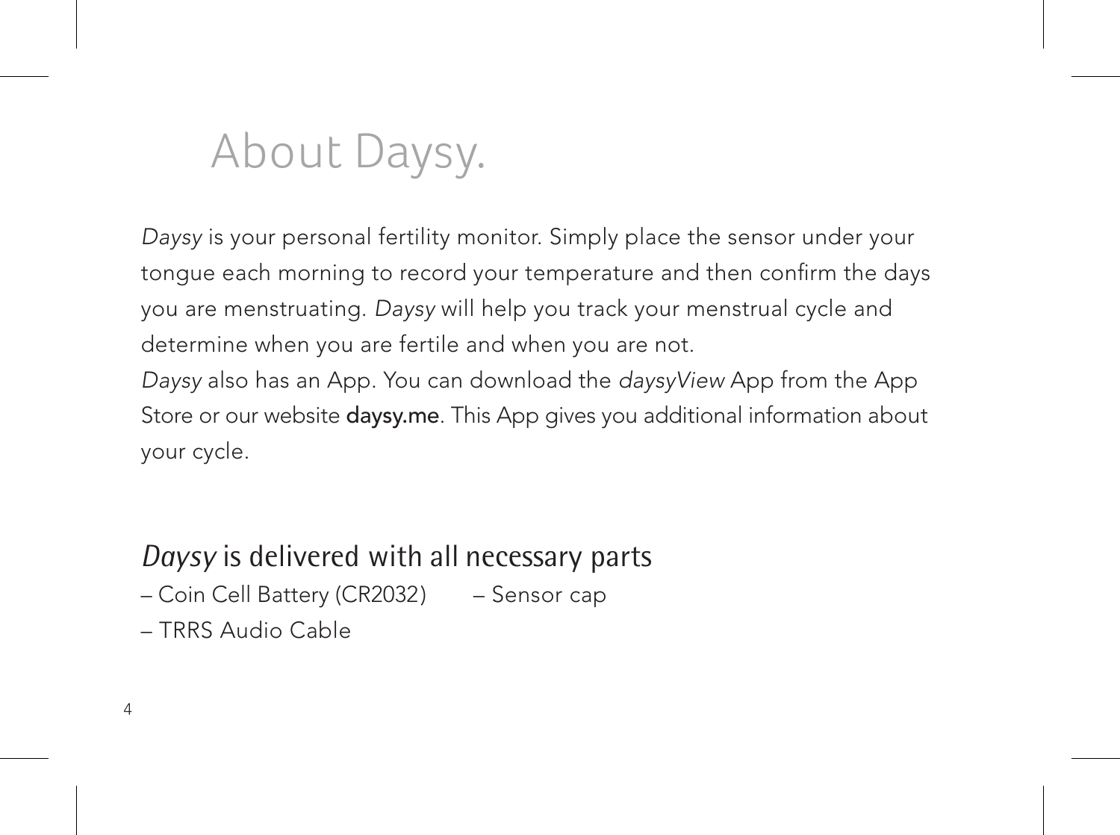### About Daysy.

Daysy is your personal fertility monitor. Simply place the sensor under your tongue each morning to record your temperature and then confirm the days you are menstruating. Daysy will help you track your menstrual cycle and determine when you are fertile and when you are not. Daysy also has an App. You can download the daysyView App from the App Store or our website daysy.me. This App gives you additional information about your cycle.

### *Daysy* is delivered with all necessary parts

- Coin Cell Battery (CR2032) – Sensor cap
- TRRS Audio Cable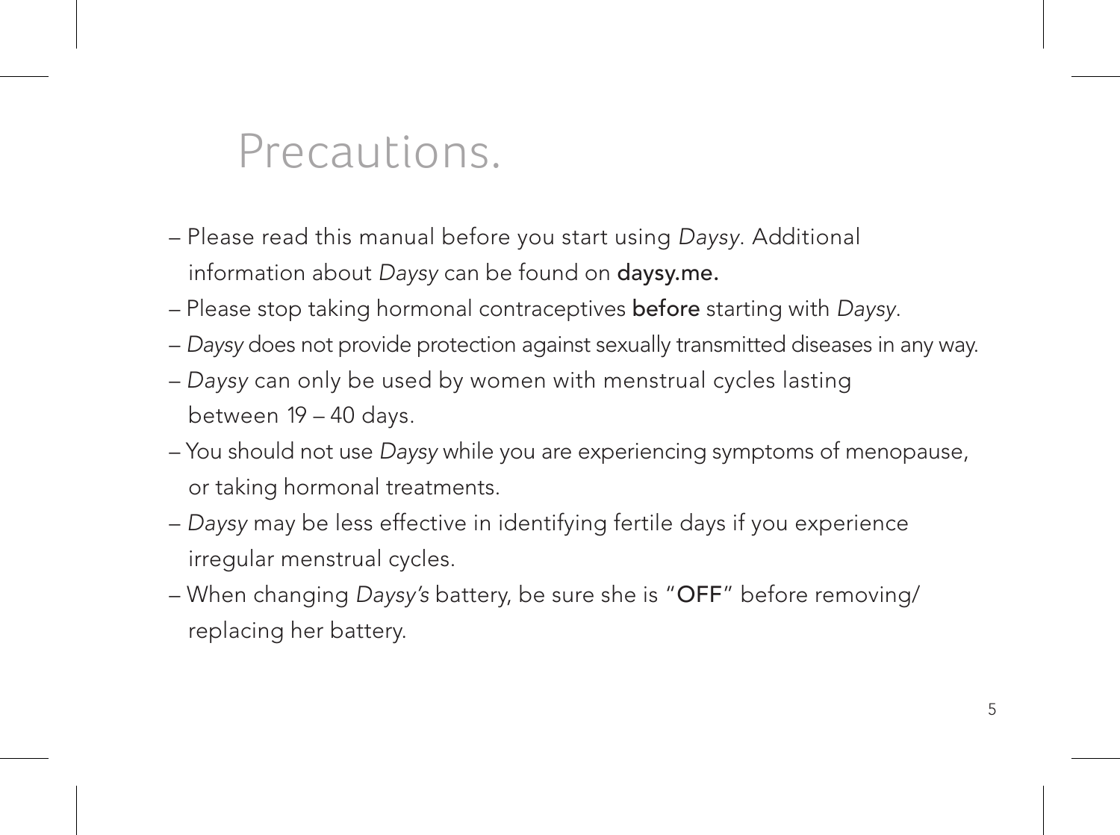### Precautions.

- Please read this manual before you start using Daysy. Additional information about Daysy can be found on daysy.me.
- Please stop taking hormonal contraceptives before starting with Daysy.
- Daysy does not provide protection against sexually transmitted diseases in any way.
- Daysy can only be used by women with menstrual cycles lasting between 19 – 40 days.
- You should not use Daysy while you are experiencing symptoms of menopause, or taking hormonal treatments.
- Daysy may be less effective in identifying fertile days if you experience irregular menstrual cycles.
- When changing Daysy's battery, be sure she is "OFF" before removing/ replacing her battery.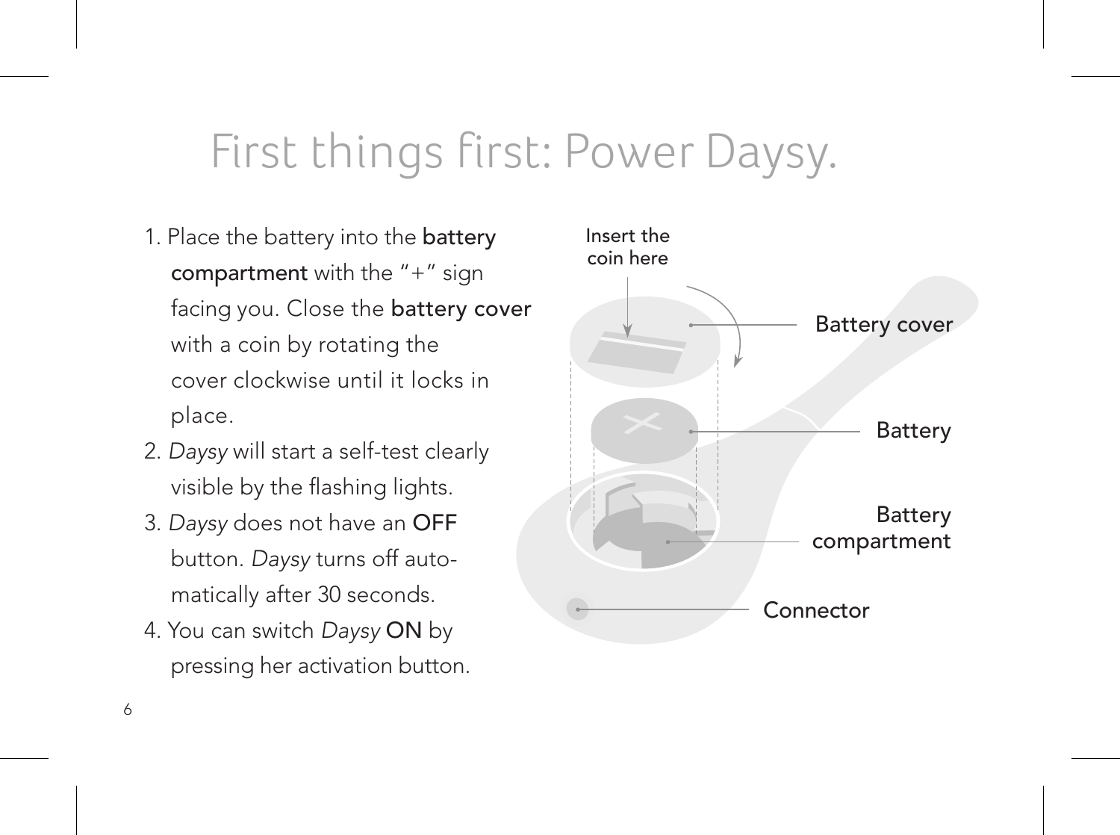### First things first: Power Daysy.

- 1. Place the battery into the battery compartment with the "+" sign facing you. Close the battery cover with a coin by rotating the cover clockwise until it locks in place.
- 2. Daysy will start a self-test clearly visible by the flashing lights.
- 3. Daysy does not have an OFF button. Daysy turns off automatically after 30 seconds.
- 4. You can switch Daysy ON by pressing her activation button.

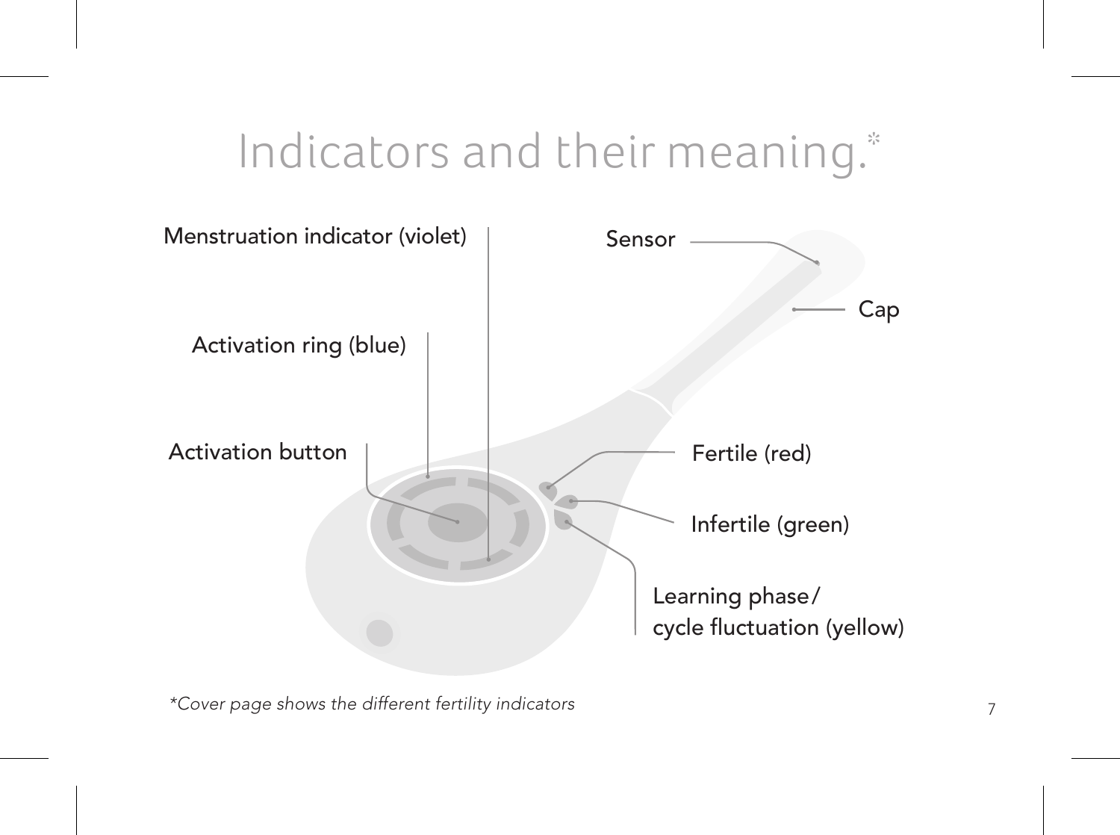### Indicators and their meaning.\*



7 \*Cover page shows the different fertility indicators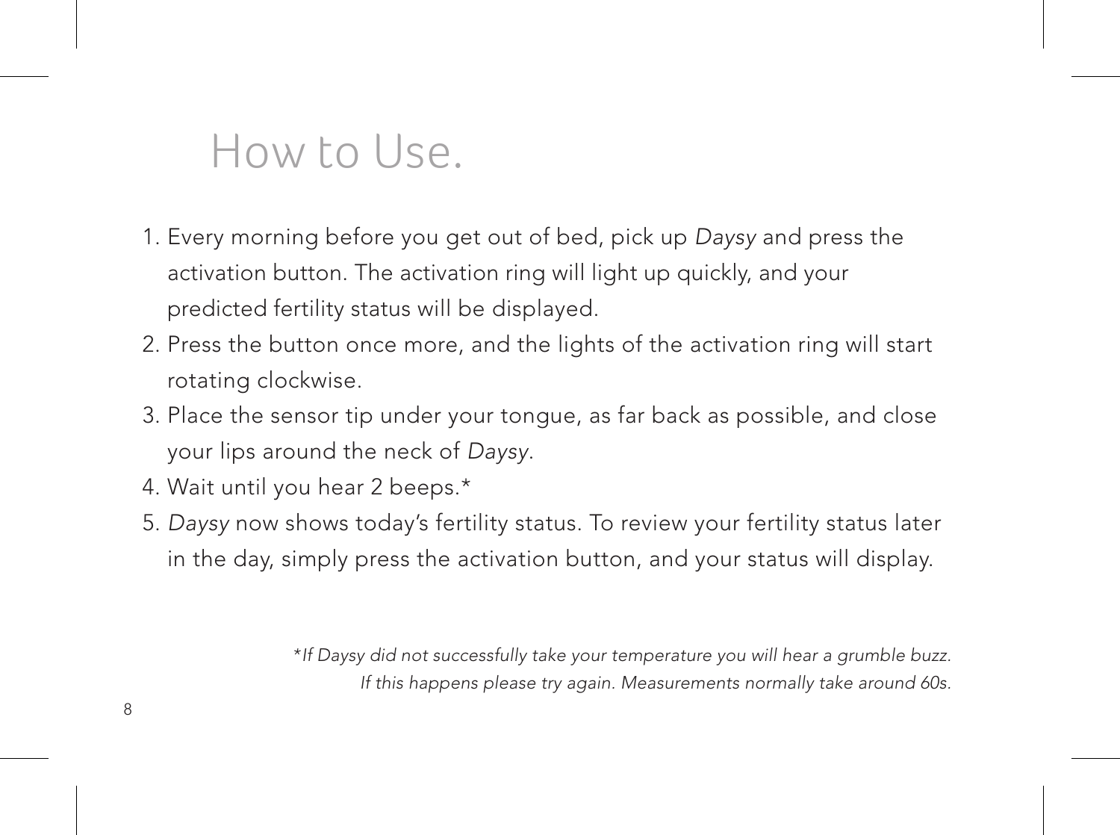### How to Use.

- 1. Every morning before you get out of bed, pick up Daysy and press the activation button. The activation ring will light up quickly, and your predicted fertility status will be displayed.
- 2. Press the button once more, and the lights of the activation ring will start rotating clockwise.
- 3. Place the sensor tip under your tongue, as far back as possible, and close your lips around the neck of Daysy.
- 4. Wait until you hear 2 beeps.\*
- 5. Daysy now shows today's fertility status. To review your fertility status later in the day, simply press the activation button, and your status will display.

\*If Daysy did not successfully take your temperature you will hear a grumble buzz. If this happens please try again. Measurements normally take around 60s.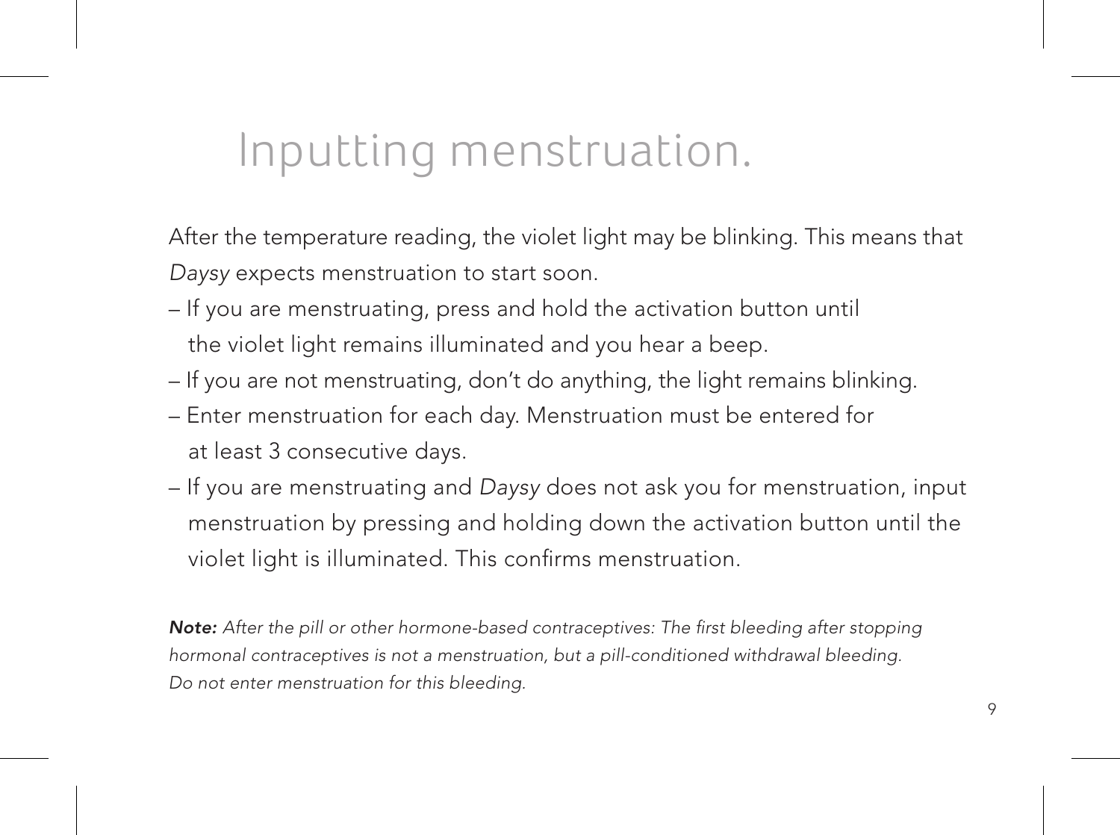### Inputting menstruation.

After the temperature reading, the violet light may be blinking. This means that Daysy expects menstruation to start soon.

- If you are menstruating, press and hold the activation button until the violet light remains illuminated and you hear a beep.
- If you are not menstruating, don't do anything, the light remains blinking.
- Enter menstruation for each day. Menstruation must be entered for at least 3 consecutive days.
- If you are menstruating and Daysy does not ask you for menstruation, input menstruation by pressing and holding down the activation button until the violet light is illuminated. This confirms menstruation.

Note: After the pill or other hormone-based contraceptives: The first bleeding after stopping hormonal contraceptives is not a menstruation, but a pill-conditioned withdrawal bleeding. Do not enter menstruation for this bleeding.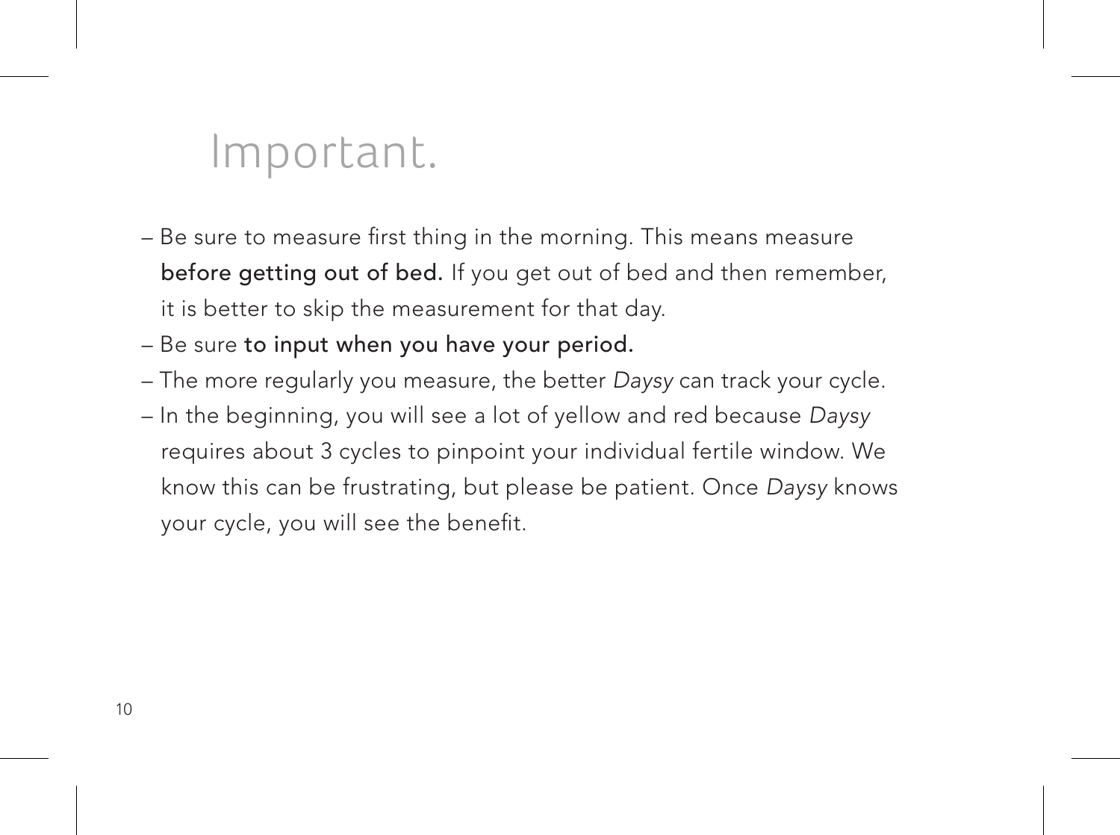### Important.

- Be sure to measure first thing in the morning. This means measure before getting out of bed. If you get out of bed and then remember, it is better to skip the measurement for that day.
- Be sure to input when you have your period.
- The more regularly you measure, the better Daysy can track your cycle.
- In the beginning, you will see a lot of yellow and red because Daysy requires about 3 cycles to pinpoint your individual fertile window. We know this can be frustrating, but please be patient. Once Daysy knows your cycle, you will see the benefit.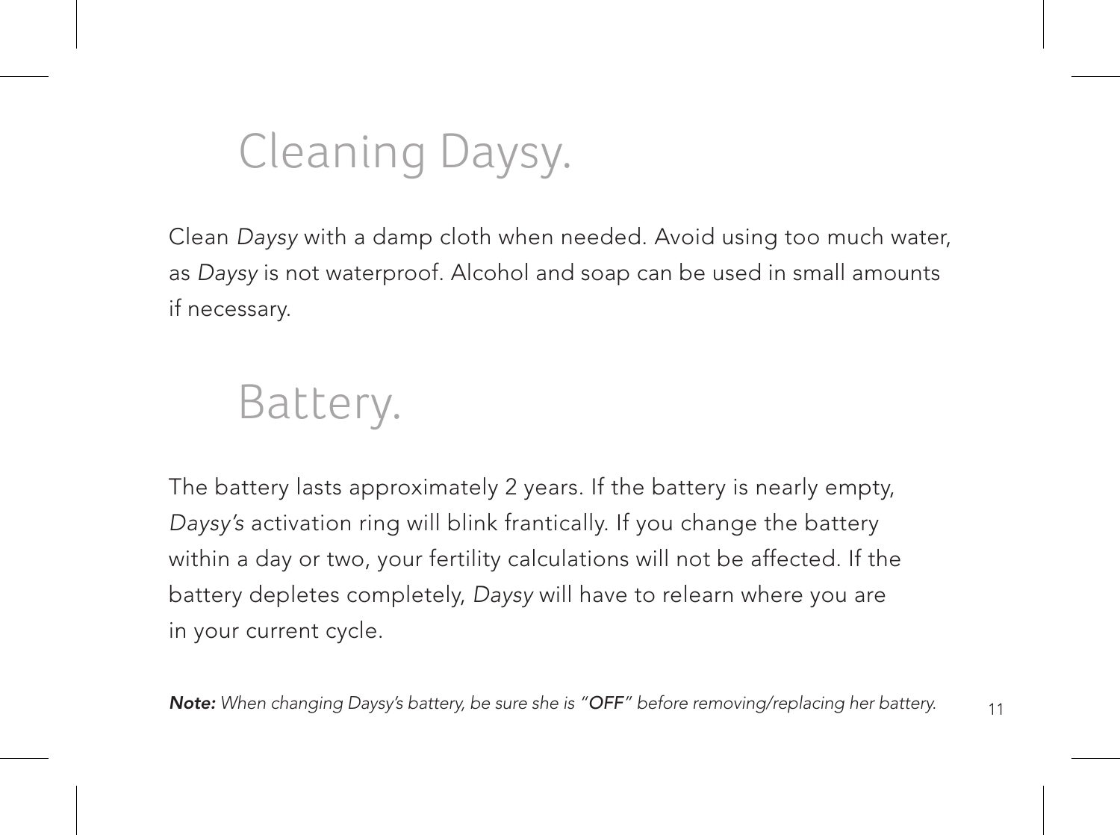# Cleaning Daysy.

Clean Daysy with a damp cloth when needed. Avoid using too much water, as Daysy is not waterproof. Alcohol and soap can be used in small amounts if necessary.

### Battery.

The battery lasts approximately 2 years. If the battery is nearly empty, Daysy's activation ring will blink frantically. If you change the battery within a day or two, your fertility calculations will not be affected. If the battery depletes completely, Daysy will have to relearn where you are in your current cycle.

Note: When changing Daysy's battery, be sure she is "OFF" before removing/replacing her battery.

11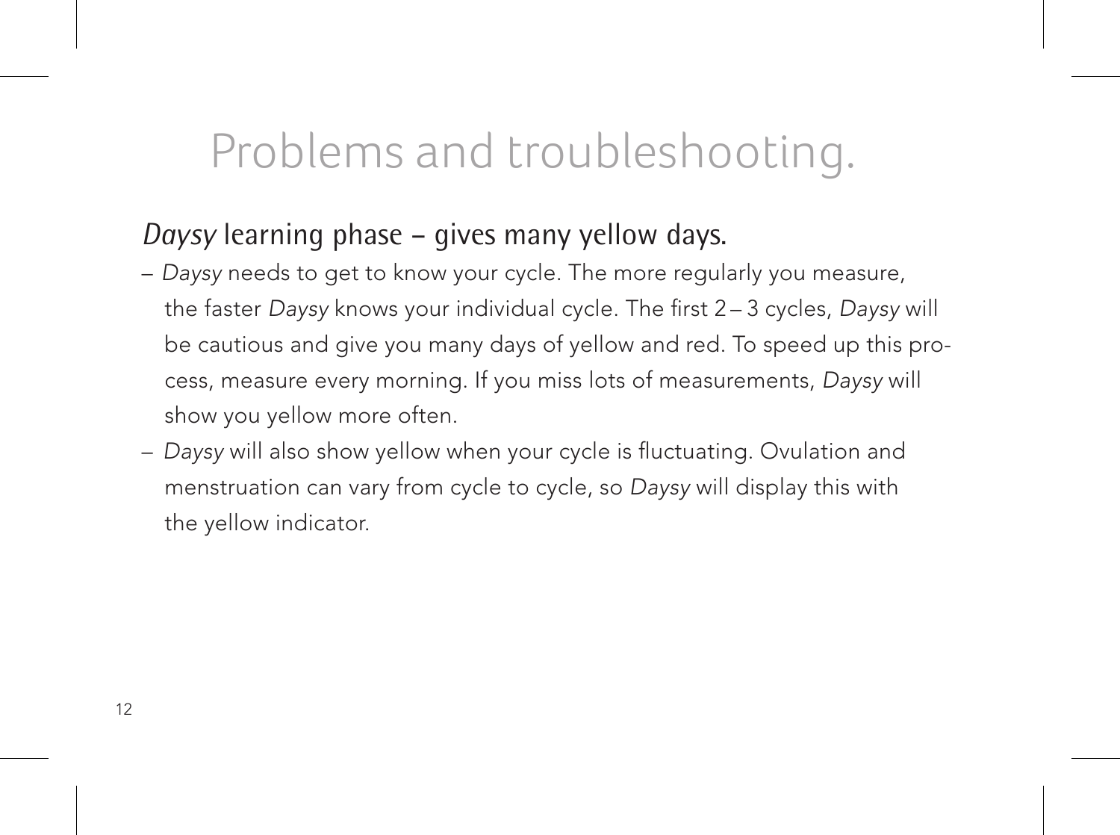### Problems and troubleshooting.

### *Daysy* learning phase – gives many yellow days.

- Daysy needs to get to know your cycle. The more regularly you measure, the faster Daysy knows your individual cycle. The first 2 – 3 cycles, Daysy will be cautious and give you many days of yellow and red. To speed up this process, measure every morning. If you miss lots of measurements, Daysy will show you yellow more often.
- Daysy will also show yellow when your cycle is fluctuating. Ovulation and menstruation can vary from cycle to cycle, so Daysy will display this with the yellow indicator.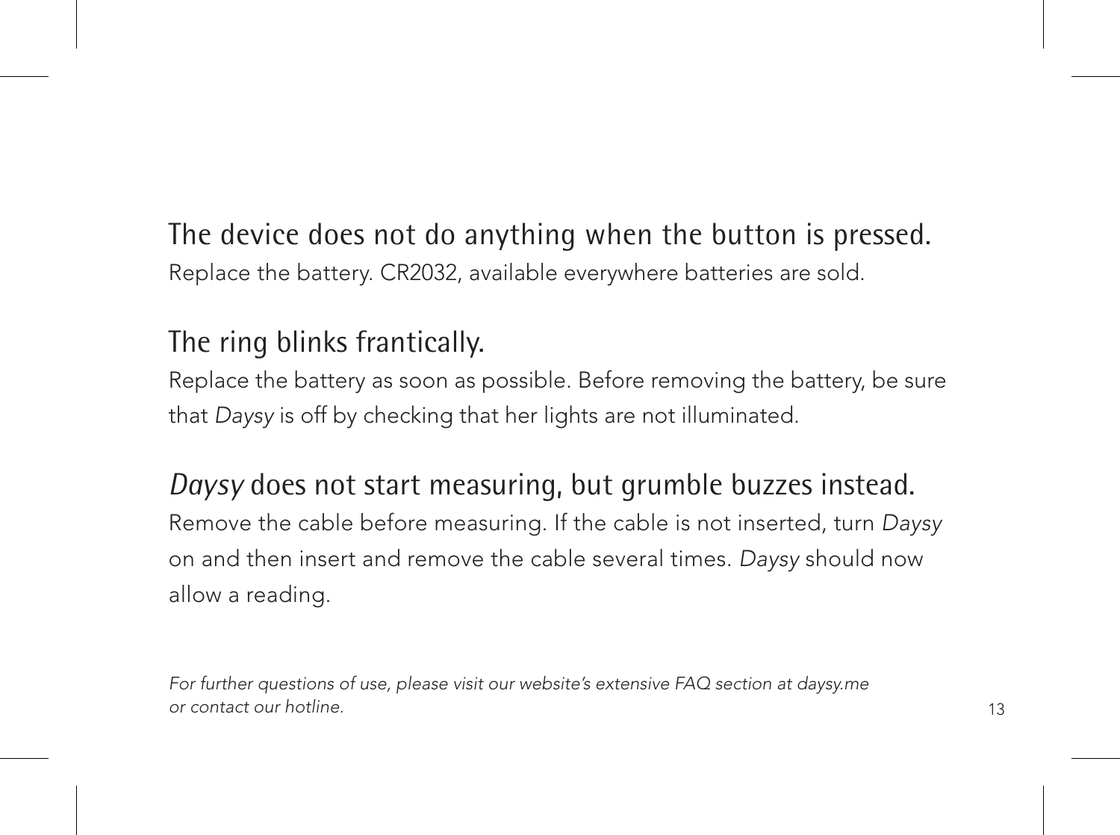The device does not do anything when the button is pressed. Replace the battery. CR2032, available everywhere batteries are sold.

### The ring blinks frantically.

Replace the battery as soon as possible. Before removing the battery, be sure that Daysy is off by checking that her lights are not illuminated.

#### *Daysy* does not start measuring, but grumble buzzes instead.

Remove the cable before measuring. If the cable is not inserted, turn Daysy on and then insert and remove the cable several times. Daysy should now allow a reading.

For further questions of use, please visit our website's extensive FAQ section at daysy.me or contact our hotline.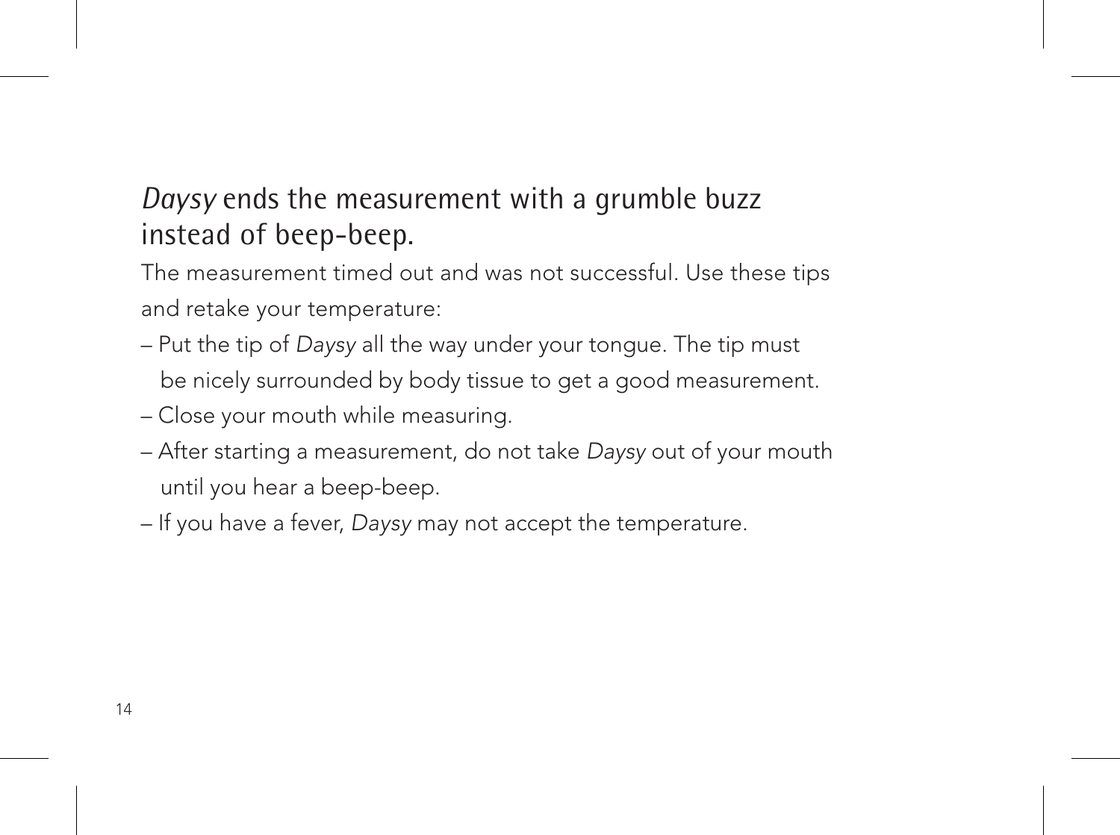### *Daysy* ends the measurement with a grumble buzz instead of beep-beep.

The measurement timed out and was not successful. Use these tips and retake your temperature:

- Put the tip of Daysy all the way under your tongue. The tip must be nicely surrounded by body tissue to get a good measurement.
- Close your mouth while measuring.
- After starting a measurement, do not take Daysy out of your mouth until you hear a beep-beep.
- If you have a fever, Daysy may not accept the temperature.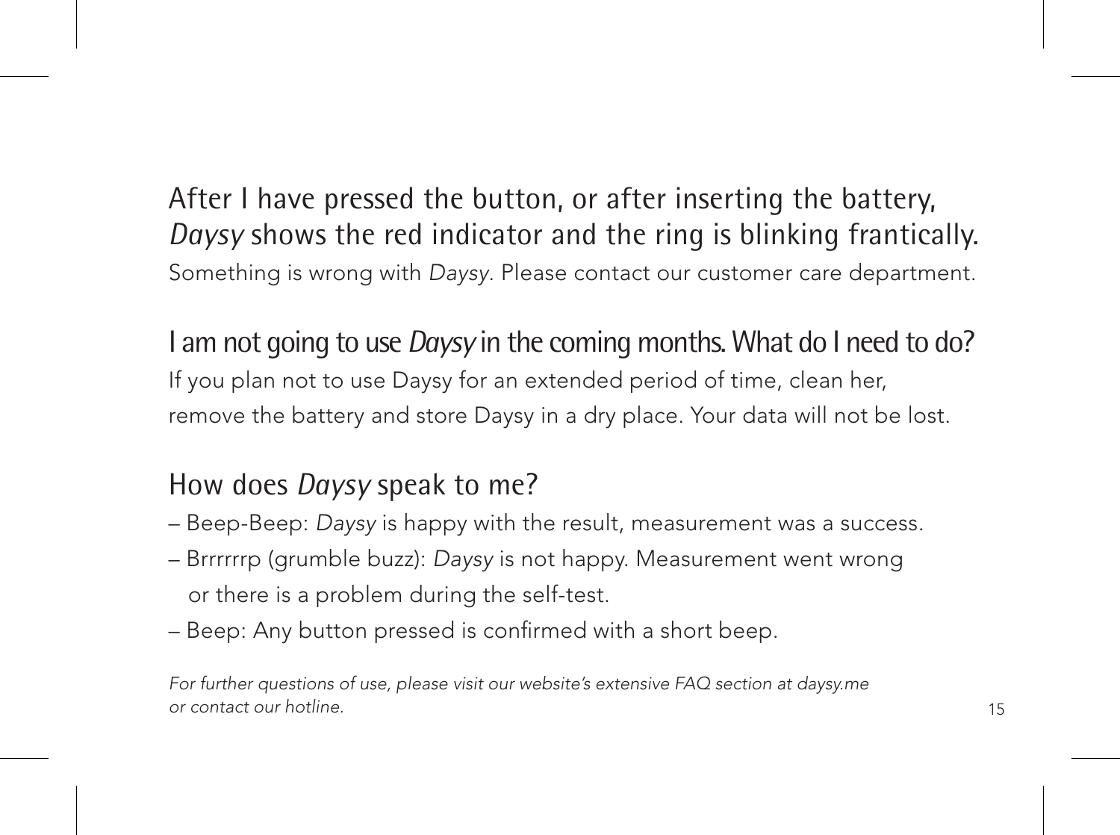After I have pressed the button, or after inserting the battery, *Daysy* shows the red indicator and the ring is blinking frantically. Something is wrong with Daysy. Please contact our customer care department.

I am not going to use *Daysy* in the coming months. What do I need to do? If you plan not to use Daysy for an extended period of time, clean her, remove the battery and store Daysy in a dry place. Your data will not be lost.

### How does *Daysy* speak to me?

- Beep-Beep: Daysy is happy with the result, measurement was a success.
- Brrrrrrp (grumble buzz): Daysy is not happy. Measurement went wrong or there is a problem during the self-test.
- Beep: Any button pressed is confirmed with a short beep.

For further questions of use, please visit our website's extensive FAQ section at daysy.me or contact our hotline.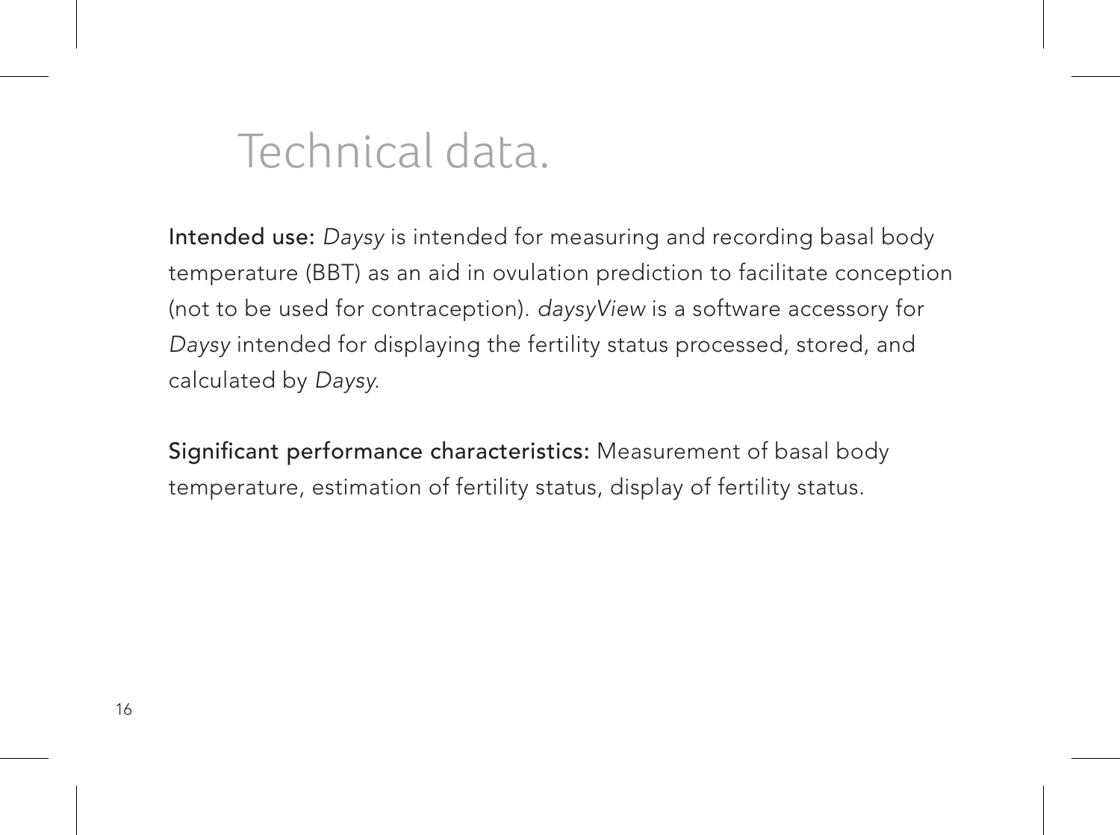### Technical data.

Intended use: Daysy is intended for measuring and recording basal body temperature (BBT) as an aid in ovulation prediction to facilitate conception (not to be used for contraception). daysyView is a software accessory for Daysy intended for displaying the fertility status processed, stored, and calculated by Daysy.

Significant performance characteristics: Measurement of basal body temperature, estimation of fertility status, display of fertility status.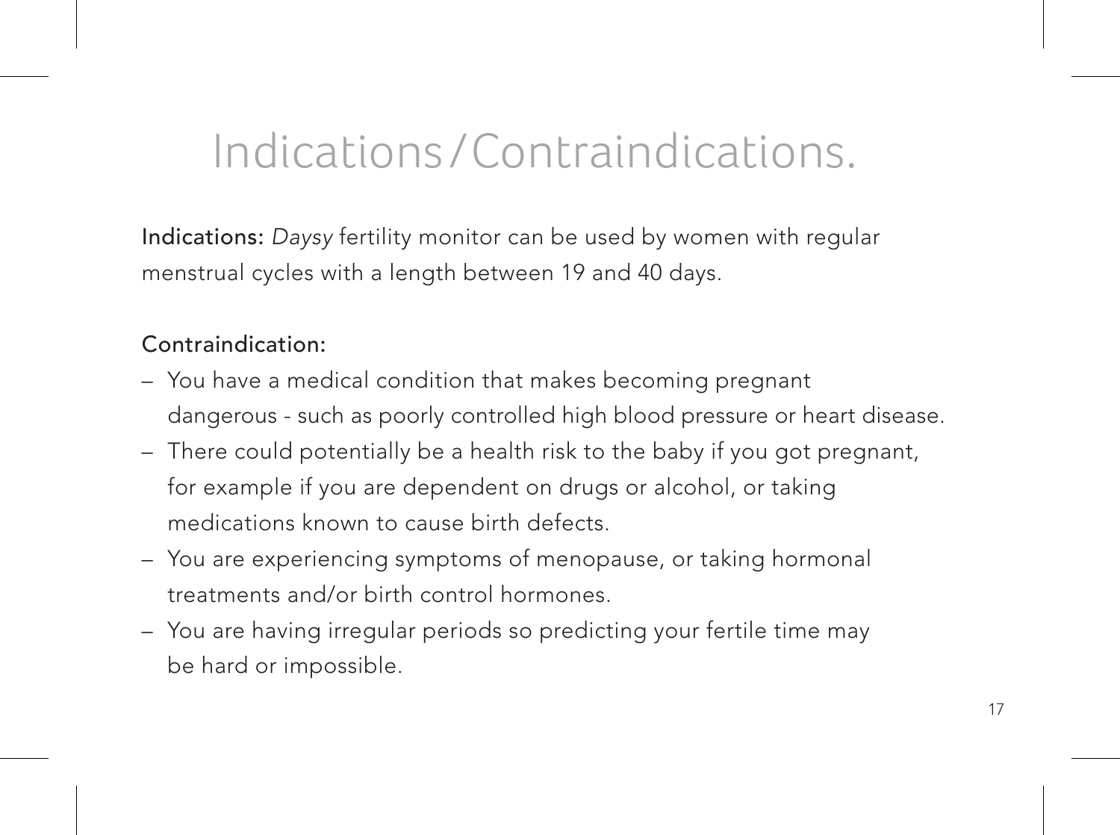### Indications /Contraindications.

Indications: Daysy fertility monitor can be used by women with regular menstrual cycles with a length between 19 and 40 days.

#### Contraindication:

- You have a medical condition that makes becoming pregnant dangerous - such as poorly controlled high blood pressure or heart disease.
- There could potentially be a health risk to the baby if you got pregnant, for example if you are dependent on drugs or alcohol, or taking medications known to cause birth defects.
- You are experiencing symptoms of menopause, or taking hormonal treatments and/or birth control hormones.
- You are having irregular periods so predicting your fertile time may be hard or impossible.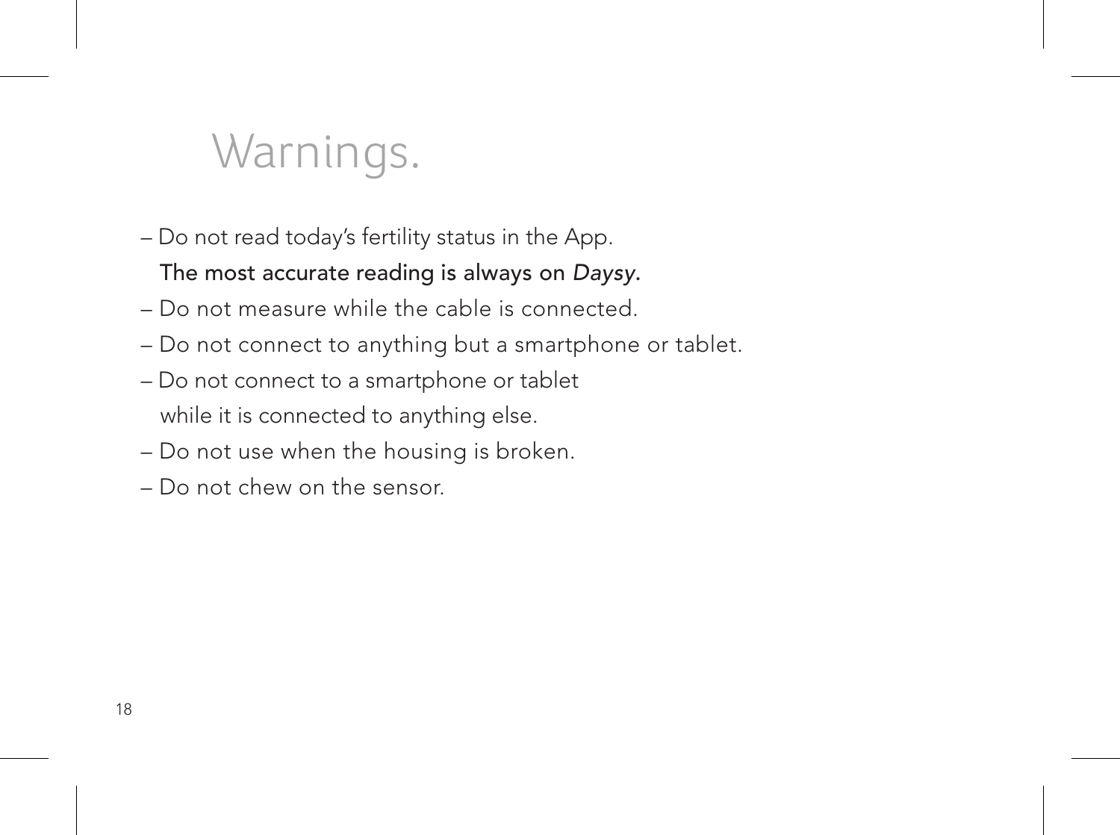### Warnings.

– Do not read today's fertility status in the App.

#### The most accurate reading is always on Daysy.

- Do not measure while the cable is connected.
- Do not connect to anything but a smartphone or tablet.
- Do not connect to a smartphone or tablet while it is connected to anything else.
- Do not use when the housing is broken.
- Do not chew on the sensor.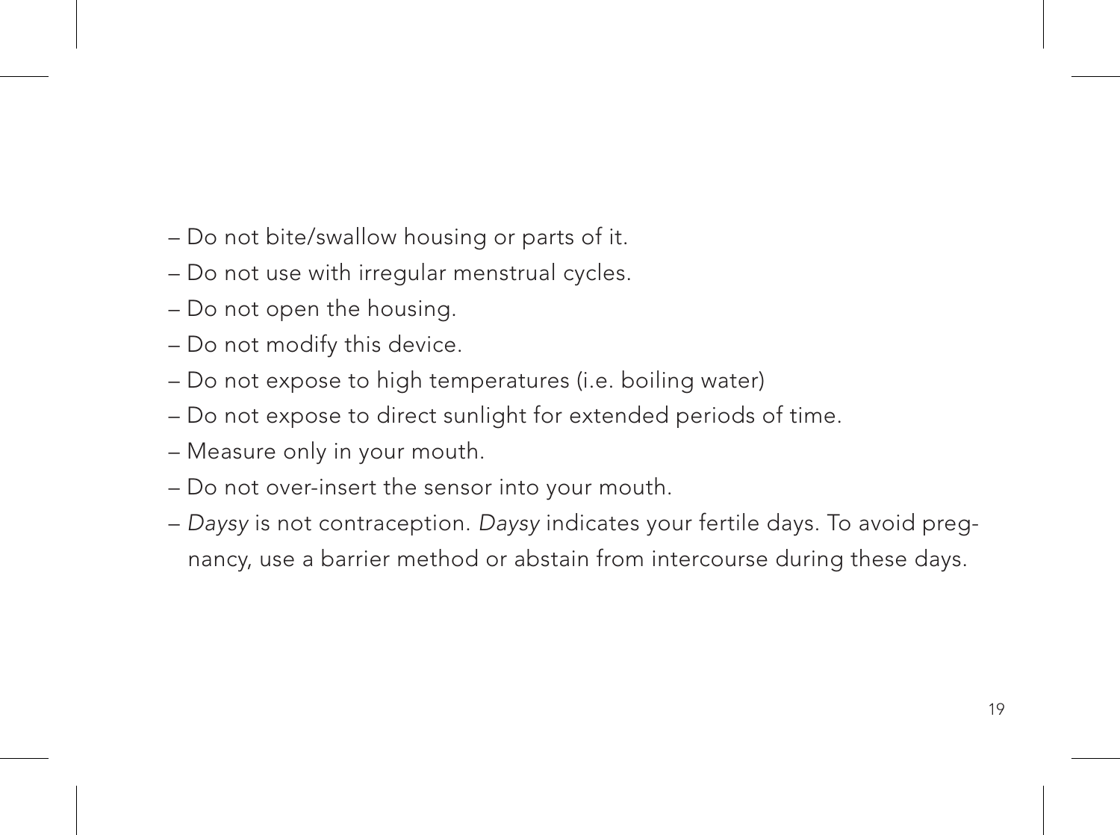- Do not bite/swallow housing or parts of it.
- Do not use with irregular menstrual cycles.
- Do not open the housing.
- Do not modify this device.
- Do not expose to high temperatures (i.e. boiling water)
- Do not expose to direct sunlight for extended periods of time.
- Measure only in your mouth.
- Do not over-insert the sensor into your mouth.
- Daysy is not contraception. Daysy indicates your fertile days. To avoid pregnancy, use a barrier method or abstain from intercourse during these days.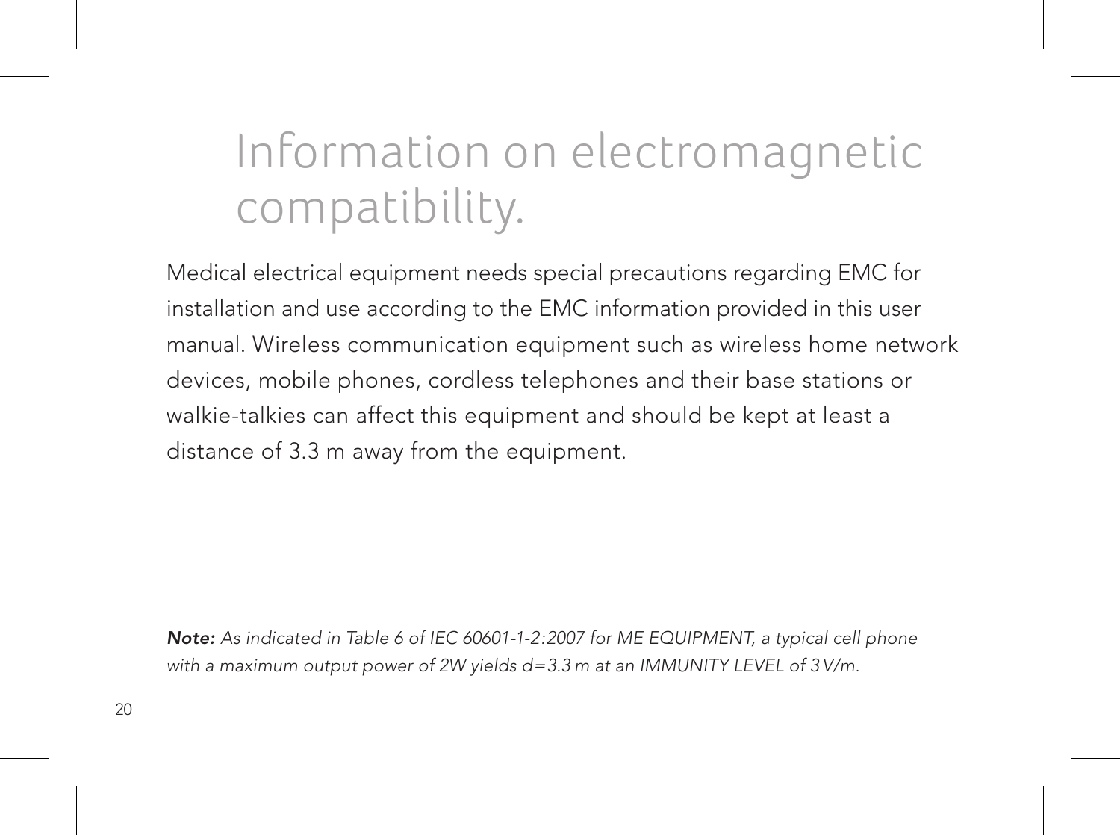# Information on electromagnetic compatibility.

Medical electrical equipment needs special precautions regarding EMC for installation and use according to the EMC information provided in this user manual. Wireless communication equipment such as wireless home network devices, mobile phones, cordless telephones and their base stations or walkie-talkies can affect this equipment and should be kept at least a distance of 3.3 m away from the equipment.

Note: As indicated in Table 6 of IEC 60601-1-2:2007 for ME EQUIPMENT, a typical cell phone with a maximum output power of 2W yields  $d=3.3$  m at an IMMUNITY LEVEL of  $3$  V/m.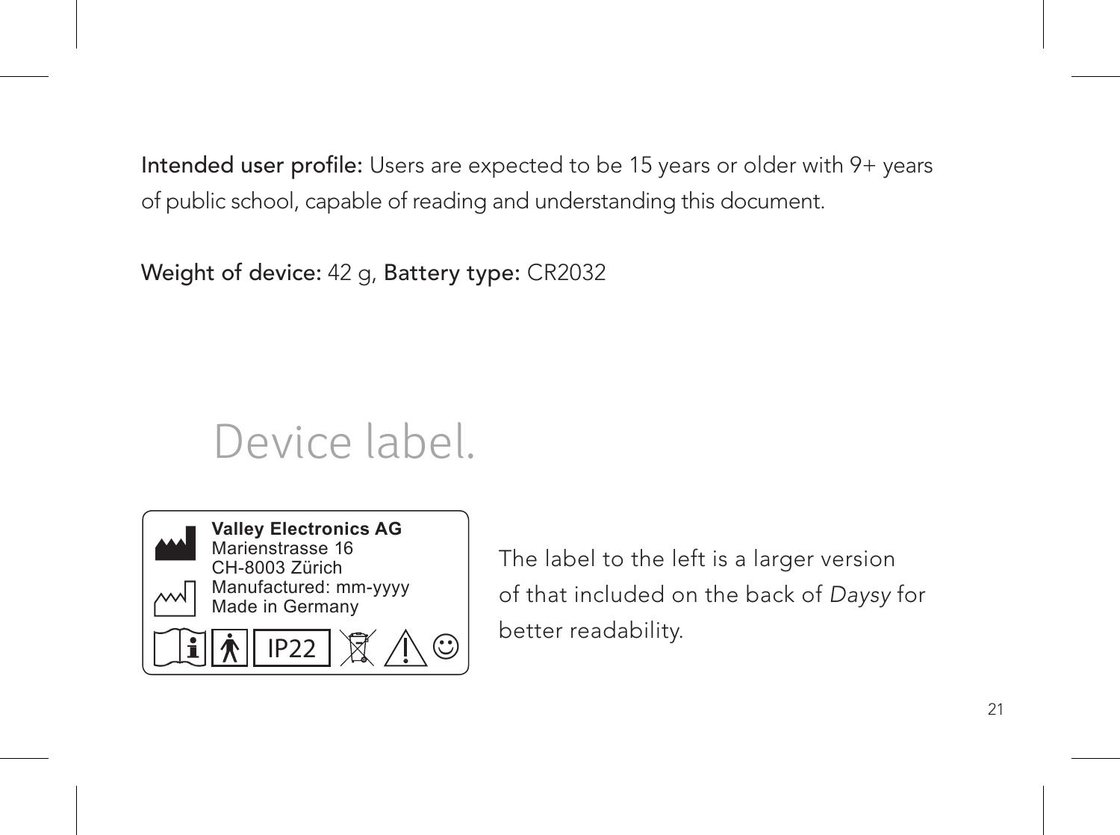Intended user profile: Users are expected to be 15 years or older with 9+ years of public school, capable of reading and understanding this document.

Weight of device: 42 g, Battery type: CR2032

### Device label.



The label to the left is a larger version of that included on the back of Daysy for better readability.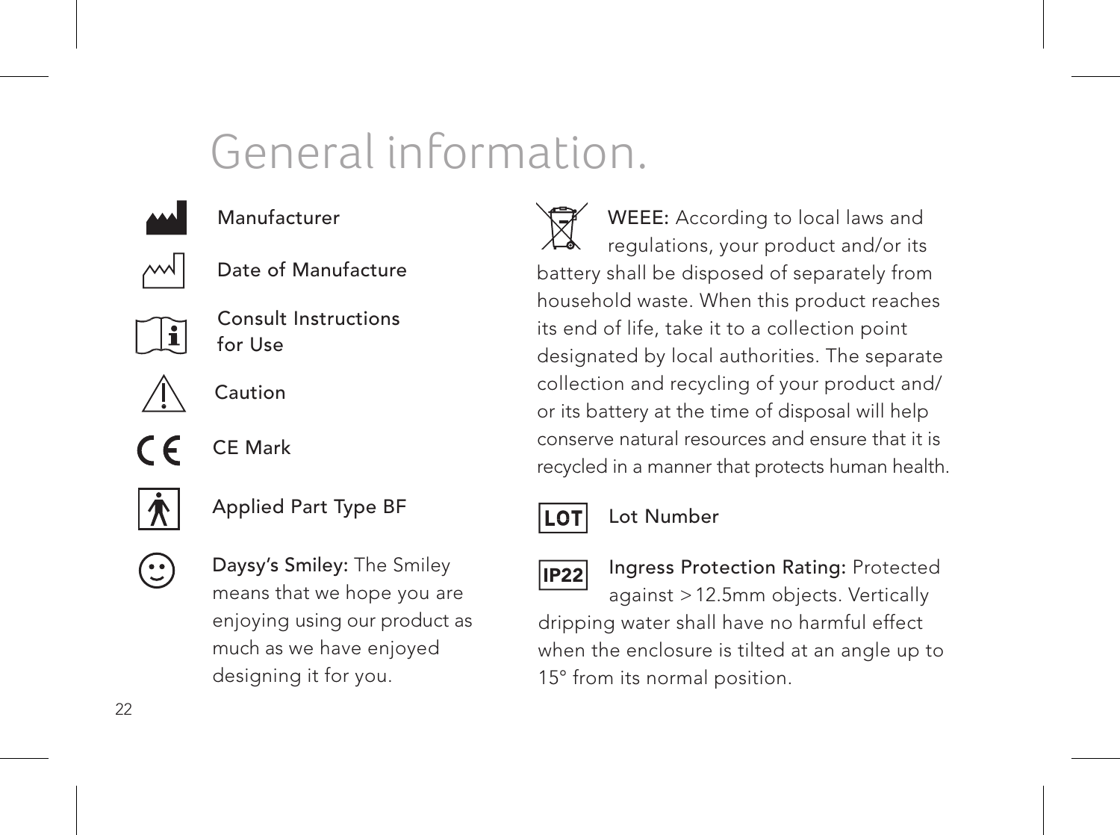### General information.



#### Manufacturer



Date of Manufacture



Consult Instructions for Use



CE Mark  $\epsilon$ 



 $\sqrt{25}$ 

0%

- Applied Part Type BF 15%
- Daysy's Smiley: The Smiley much as we have enjoyed means that we hope you are enjoying using our product as designing it for you.

93%

recycled in a manner that protects human health. WEEE: According to local laws and regulations, your product and/or its battery shall be disposed of separately from household waste. When this product reaches its end of life, take it to a collection point designated by local authorities. The separate collection and recycling of your product and/ or its battery at the time of disposal will help conserve natural resources and ensure that it is



#### Lot Number

IP22

15° from its normal position. dripping water shall have no harmful effect Ingress Protection Rating: Protected against > 12.5mm objects. Vertically when the enclosure is tilted at an angle up to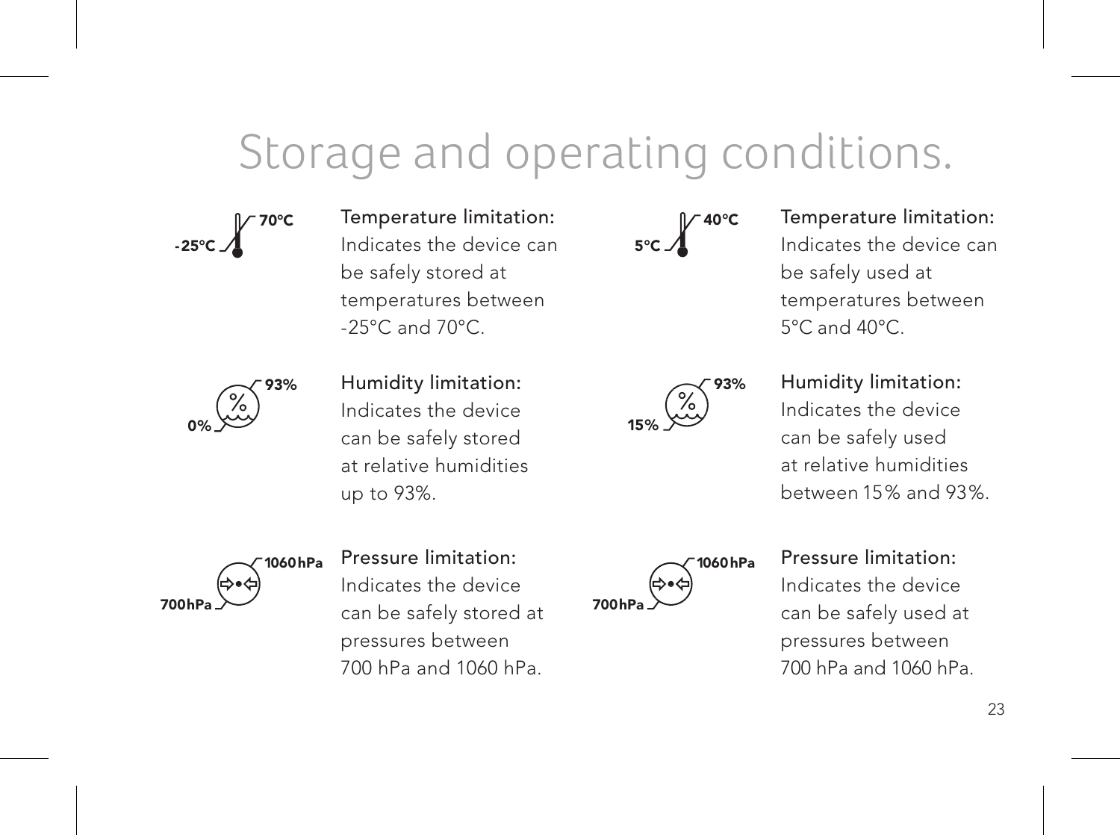### Storage and operating conditions.

70°C -25°C

Temperature limitation: Indicates the device can be safely stored at temperatures between -25°C and 70°C.

93% 0%

Humidity limitation: marcates the device up to 93%. Indicates the device at relative humidities

40°C 5°C 700hPa

Temperature limitation: Indicates the device can be safely used at temperatures between 5°C and 40°C.

93% 15%

Humidity limitation: Indicates the device can be safely used at relative humidities between 15% and 93%.



Pressure limitation:

Indicates the device can be safely used at pressures between 700 hPa and 1060 hPa.



pressures between 700 hPa and 1060 hPa. Pressure limitation: Indicates the device can be safely stored at

23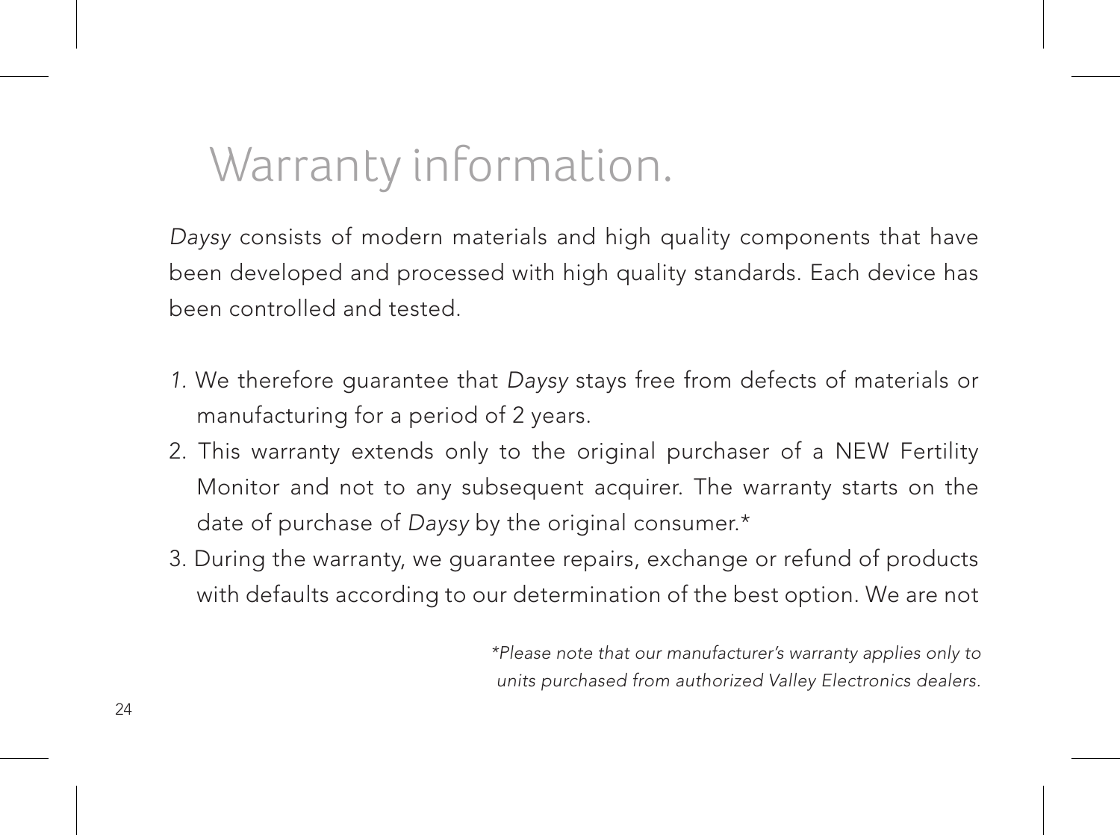### Warranty information.

Daysy consists of modern materials and high quality components that have been developed and processed with high quality standards. Each device has been controlled and tested.

- 1. We therefore guarantee that Daysy stays free from defects of materials or manufacturing for a period of 2 years.
- 2. This warranty extends only to the original purchaser of a NEW Fertility Monitor and not to any subsequent acquirer. The warranty starts on the date of purchase of Daysy by the original consumer.\*
- 3. During the warranty, we guarantee repairs, exchange or refund of products with defaults according to our determination of the best option. We are not

\*Please note that our manufacturer's warranty applies only to units purchased from authorized Valley Electronics dealers.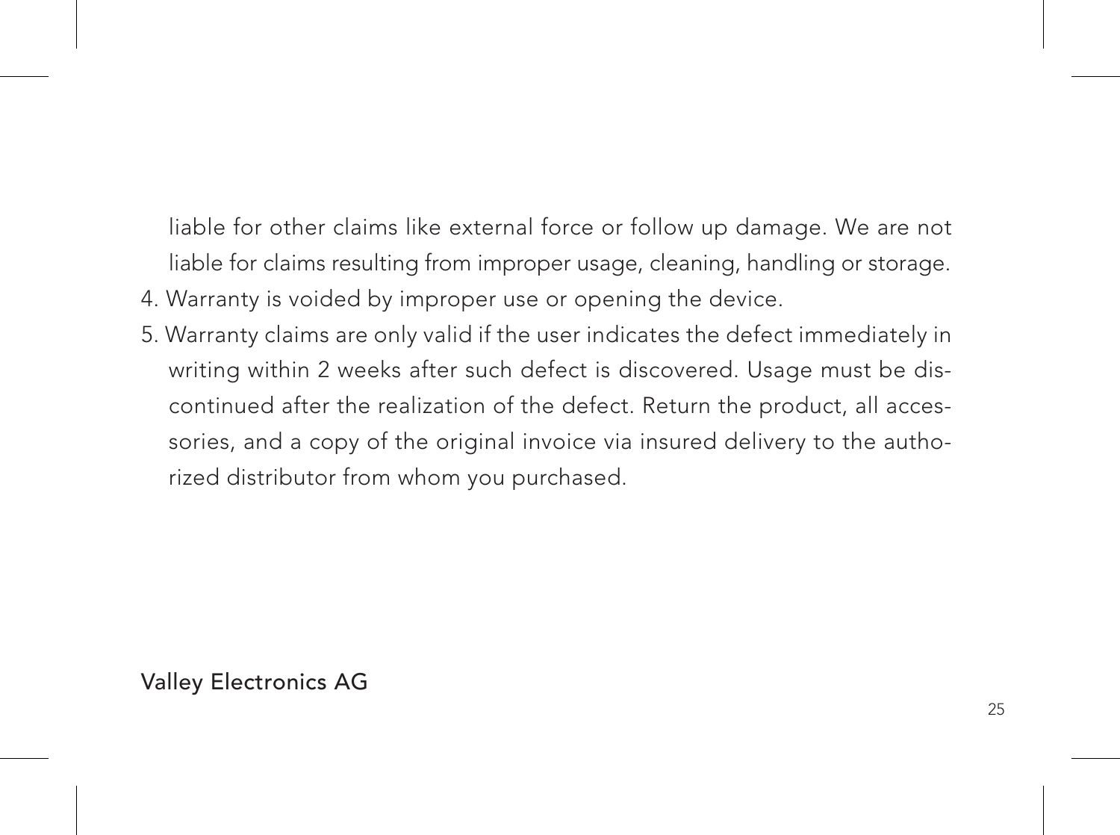liable for other claims like external force or follow up damage. We are not liable for claims resulting from improper usage, cleaning, handling or storage.

- 4. Warranty is voided by improper use or opening the device.
- 5. Warranty claims are only valid if the user indicates the defect immediately in writing within 2 weeks after such defect is discovered. Usage must be discontinued after the realization of the defect. Return the product, all accessories, and a copy of the original invoice via insured delivery to the authorized distributor from whom you purchased.

Valley Electronics AG